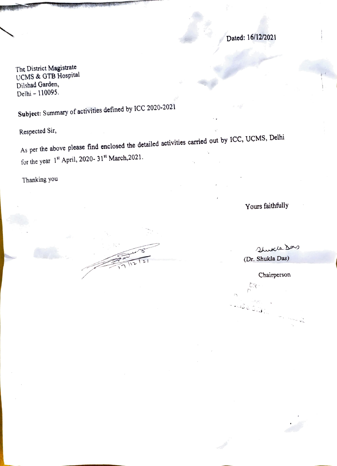Dated: 16/12/2021

The District Magistrate UCMS& GTB Hospital Dilshad Garden, Delhi - 110095.

Subject: Summary of activities defined by ICC 2020-2021

Respected Sir,

As per the above please find enclosed the detailed activities carried out by ICC, UCMS, Delhi for the year  $1^{st}$  April, 2020-31st March, 2021.

Thanking you

Yours faithfully

Shukle Das (Dr. Shukla Das)

Chairperson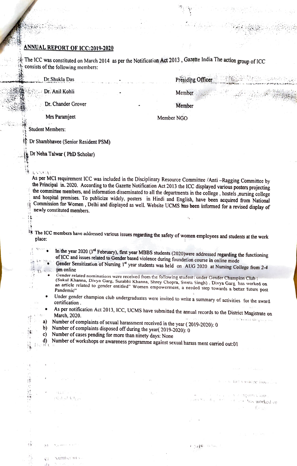## ANNUAL REPORT OF ICC:2019-2020

 $\hat{\phi}$  The ICC was constituted on March 2014 as per the Notification Act 2013, Gazette India The action group of ICC consists of the following members:

Dr.Shukla Das **Presiding Officer** 

Dr. Anil Kohli Member

Dr. Chander Grover **Member** 2004

Mrs Paramjeet Member NGO

Student Members:

 $A \times \sqrt{1/A}$ 

Dr Shambhavee (Senior Resident PSM)

Dr Neha Talwar (PhD Scholar)

As per MCI requirement ICC was included in the Disciplinary Resource Committee /Anti –Ragging Committee by the Principal in. 2020. According to the Gazette Notification Act 2013 the ICC displayed various posters projecting

## The ICC members have addressed various issues regarding the safety of women employees and students at the work place:

- In the year 2020 ( $3^{rd}$  February), first year MBBS students (2020)were addressed regarding the functioning of ICC and issues related to Gender based violence during foundation course in online mode Gender Sensitization o
- pm online
	- Gender related nominations were received from the following student under Gender Champion Club:<br>(Sukul Khanna, Divya Garg, Surabhi Khanna, Shrey Chopra, Sweta Singh). Divya Garg has worked on (Sukul Khanna, Divya Garg, Surabhi Khanna, Shrey Chopper, Shrey Chopper, Shrey Chopper, Shrey Chopper, Shrey Chopper, Shrey Shrey Shrey Shrey Shrey Shrey Shrey Shrey Shrey Shrey Shrey Shrey Shrey Shrey Shrey Shrey Shrey Sh
- Under gender champion club undergraduates were invited to write a summary of activities for the award certification.  $\bullet$
- As per notification Act 2013, ICC, UCMS have submitted the annual records to the District Magistrate on<br>March 2020 March, 2020. d tevisda display o

worked on<br>Worked or

tim Conce from

х в андинутар

 $\cdot$   $\cdot$ 

 $(1,1)$   $(1,1)$ 

- a) Number of complaints of sexual harassment received in the year (2019-2020): 0<br>b) Number of complaints disposed off during the year( 2019-2020): 0
- 
- c) Number of cases pending for more than ninety days: None
- d) Number of workshops or awareness programme against sexual harass ment carried out:01
- 

 $(11.1)$ 

(Salah Kha

sumber of v

 $1$ 

揣

ł)

푞

 $(1)$